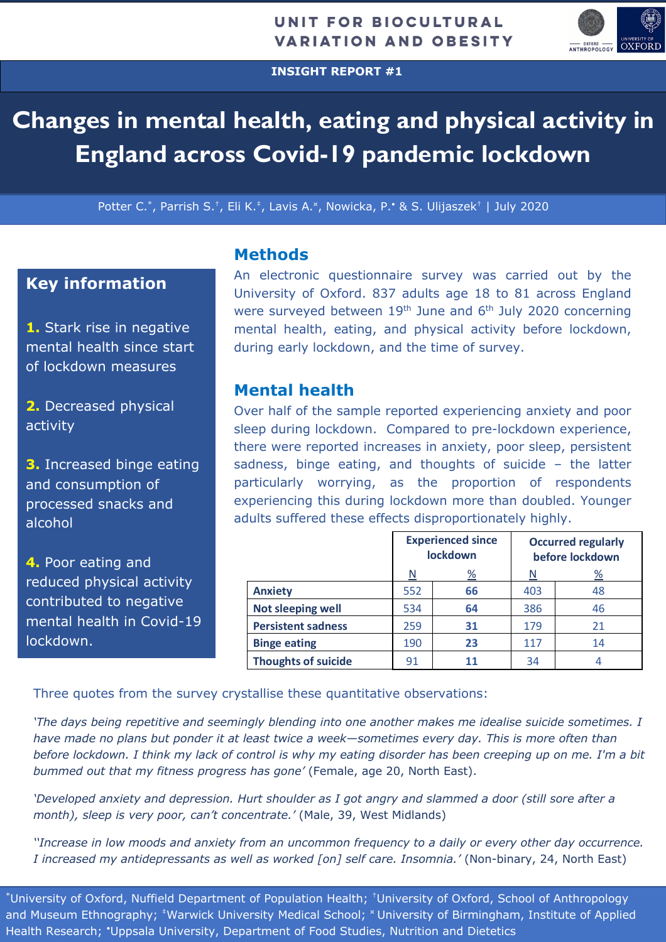**INSIGHT REPORT #1**



# **Changes in mental health, eating and physical activity in England across Covid-19 pandemic lockdown**

Potter C.\*, Parrish S.†, Eli K.‡, Lavis A.¤, Nowicka, P.• & S. Ulijaszek† | July 2020

#### **Key information**

**1.** Stark rise in negative mental health since start of lockdown measures

**2.** Decreased physical activity

**3.** Increased binge eating and consumption of processed snacks and alcohol

**4.** Poor eating and reduced physical activity contributed to negative mental health in Covid-19 lockdown.

#### **Methods**

An electronic questionnaire survey was carried out by the University of Oxford. 837 adults age 18 to 81 across England were surveyed between 19<sup>th</sup> June and 6<sup>th</sup> July 2020 concerning mental health, eating, and physical activity before lockdown, during early lockdown, and the time of survey.

#### **Mental health**

Over half of the sample reported experiencing anxiety and poor sleep during lockdown. Compared to pre-lockdown experience, there were reported increases in anxiety, poor sleep, persistent sadness, binge eating, and thoughts of suicide – the latter particularly worrying, as the proportion of respondents experiencing this during lockdown more than doubled. Younger adults suffered these effects disproportionately highly.

|                            | <b>Experienced since</b><br>lockdown |                 | <b>Occurred regularly</b><br>before lockdown |                          |
|----------------------------|--------------------------------------|-----------------|----------------------------------------------|--------------------------|
|                            |                                      | $\frac{\%}{\%}$ | <u>N</u>                                     | $\frac{\%}{\frac{6}{2}}$ |
| <b>Anxiety</b>             | 552                                  | 66              | 403                                          | 48                       |
| <b>Not sleeping well</b>   | 534                                  | 64              | 386                                          | 46                       |
| <b>Persistent sadness</b>  | 259                                  | 31              | 179                                          | 21                       |
| <b>Binge eating</b>        | 190                                  | 23              | 117                                          | 14                       |
| <b>Thoughts of suicide</b> | 91                                   | 11              | 34                                           |                          |

Three quotes from the survey crystallise these quantitative observations:

*'The days being repetitive and seemingly blending into one another makes me idealise suicide sometimes. I have made no plans but ponder it at least twice a week—sometimes every day. This is more often than before lockdown. I think my lack of control is why my eating disorder has been creeping up on me. I'm a bit bummed out that my fitness progress has gone'* (Female, age 20, North East).

*'Developed anxiety and depression. Hurt shoulder as I got angry and slammed a door (still sore after a month), sleep is very poor, can't concentrate.'* (Male, 39, West Midlands)

*''Increase in low moods and anxiety from an uncommon frequency to a daily or every other day occurrence. I increased my antidepressants as well as worked [on] self care. Insomnia.'* (Non-binary, 24, North East)

\*University of Oxford, Nuffield Department of Population Health; †University of Oxford, School of Anthropology and Museum Ethnography; <sup>‡</sup>Warwick University Medical School; <sup>\*</sup> University of Birmingham, Institute of Applied Health Research; • Uppsala University, Department of Food Studies, Nutrition and Dietetics